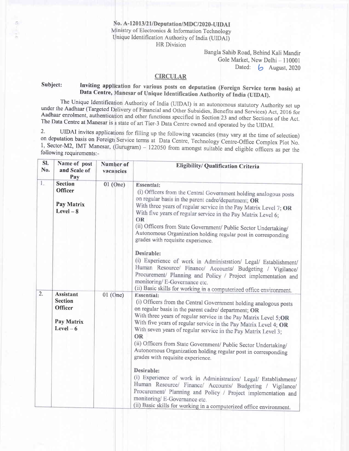No. A-12013/21/Deputation/MDC/2020-UIDAI Ministry of Electronics & Information Technology Unique Identification Authority of India (UIDAI) HR Division

Bangla Sahib Road, Behind Kali Mandir Gole Market, New Delhi - 110001 Dated:  $\bigcirc$  August, 2020

## **CIRCULAR**

# Subject: Inviting application for various posts on deputation (Foreign Service term basis) at Data Centre, Manesar of Unique Identification Authority of India (UIDAI).

The Unique Identification Authority of India (UIDAI) is an autonomous statutory Authority set up The Unique Identification Authority of India (UIDAI) is an autonomous statutory Authority set up<br>under the Aadhaar (Targeted Delivery of Financial and Other Subsidies, Benefits and Services) Act, 2016 for<br>Aadhaar enrolment Aadhaar enrolment, authentication and other functions specified in Section 23 and other Sections of the Act. The Data Centre at Manesar is a state of art Tier-3 Data Centre owned and operated by the UIDAI.

2. UIDAI invites applications for filling up the following vacancies (may vary at the time of selection) on deputation basis on Foreign Service terms at Data Centre, Technology Centre-Office Complex Plot No. 1, Sector-M2, IMT Manesar, (Gurugram) – 122050 from amongst suitable and eligible officers as per the following requirements:-

| SI.<br>No.       | Name of post<br>and Scale of<br>Pay                                             | Number of<br>vacancies | Eligibility/ Qualification Criteria                                                                                                                                                                                                                                                                                                                                                                                                                                                                                                                                                                                                                                                                                                                                                                                                                                                                                                         |
|------------------|---------------------------------------------------------------------------------|------------------------|---------------------------------------------------------------------------------------------------------------------------------------------------------------------------------------------------------------------------------------------------------------------------------------------------------------------------------------------------------------------------------------------------------------------------------------------------------------------------------------------------------------------------------------------------------------------------------------------------------------------------------------------------------------------------------------------------------------------------------------------------------------------------------------------------------------------------------------------------------------------------------------------------------------------------------------------|
| $l_{\ast}$       | <b>Section</b><br><b>Officer</b><br>Pay Matrix<br>$Level - 8$                   | $01$ (One)             | <b>Essential:</b><br>(i) Officers from the Central Government holding analogous posts<br>on regular basis in the parent cadre/department; OR<br>With three years of regular service in the Pay Matrix Level 7; OR<br>With five years of regular service in the Pay Matrix Level 6;<br>OR<br>(ii) Officers from State Government/ Public Sector Undertaking/<br>Autonomous Organization holding regular post in corresponding<br>grades with requisite experience.<br>Desirable:<br>(i) Experience of work in Administration/ Legal/ Establishment/<br>Human Resource/ Finance/ Accounts/ Budgeting / Vigilance/<br>Procurement/ Planning and Policy / Project implementation and<br>monitoring/E-Governance etc.                                                                                                                                                                                                                            |
| $\overline{2}$ . | <b>Assistant</b><br><b>Section</b><br><b>Officer</b><br>Pay Matrix<br>$Level-6$ | 01 (One)               | (ii) Basic skills for working in a computerized office environment.<br><b>Essential:</b><br>(i) Officers from the Central Government holding analogous posts<br>on regular basis in the parent cadre/ department; OR<br>With three years of regular service in the Pay Matrix Level 5;OR<br>With five years of regular service in the Pay Matrix Level 4; OR<br>With seven years of regular service in the Pay Matrix Level 3;<br><b>OR</b><br>(ii) Officers from State Government/ Public Sector Undertaking/<br>Autonomous Organization holding regular post in corresponding<br>grades with requisite experience.<br>Desirable:<br>(i) Experience of work in Administration/ Legal/ Establishment/<br>Human Resource/ Finance/ Accounts/ Budgeting / Vigilance/<br>Procurement/ Planning and Policy / Project implementation and<br>monitoring/ E-Governance etc.<br>(ii) Basic skills for working in a computerized office environment. |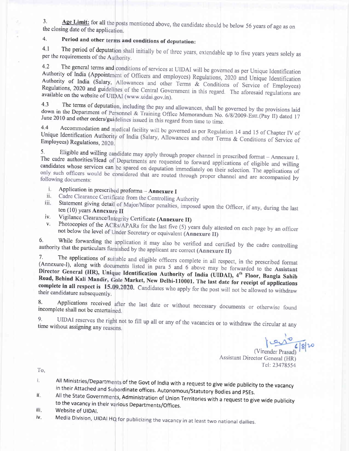Age Limit: for all the posts mentioned above, the candidate should be below 56 years of age as on  $3.$ the closing date of the application.

#### Period and other terms and conditions of deputation: 4.

The period of deputation shall initially be of three years, extendable up to five years years solely as  $4.1$ per the requirements of the Authority.

The general terms and conditions of services at UIDAI will be governed as per Unique Identification  $4.2$ Authority of India (Appointment of Officers and employees) Regulations, 2020 and Unique Identification Authority of India (Salary, Allowances and other Terms & Conditions of Service of Employees) Regulations, 2020 and guidelines of the Central Government in this regard. The aforesaid regulations are available on the website of UIDAI (www.uidai.gov.in).

The terms of deputation, including the pay and allowances, shall be governed by the provisions laid  $4.3$ down in the Department of Personnel & Training Office Memorandum No. 6/8/2009-Estt.(Pay II) dated 17 June 2010 and other orders/guidelines issued in this regard from time to time.

Accommodation and medical facility will be governed as per Regulation 14 and 15 of Chapter IV of  $4.4$ Unique Identification Authority of India (Salary, Allowances and other Terms & Conditions of Service of Employees) Regulations, 2020.

Eligible and willing candidate may apply through proper channel in prescribed format - Annexure I.  $5<sub>1</sub>$ The cadre authorities/Head of Departments are requested to forward applications of eligible and willing candidates whose services can be spared on deputation immediately on their selection. The applications of only such officers would be considered that are routed through proper channel and are accompanied by following documents:

- Application in prescribed proforma Annexure I i.
- Cadre Clearance Certificate from the Controlling Authority ii.
- Statement giving detail of Major/Minor penalties, imposed upon the Officer, if any, during the last iii. ten (10) years Annexure II
- Vigilance Clearance/Integrity Certificate (Annexure II) iv.
- Photocopies of the ACRs/APARs for the last five (5) years duly attested on each page by an officer  $V<sub>r</sub>$ not below the level of Under Secretary or equivalent (Annexure II)

While forwarding the application it may also be verified and certified by the cadre controlling 6. authority that the particulars furnished by the applicant are correct (Annexure II)

The applications of suitable and eligible officers complete in all respect, in the prescribed format 7. (Annexure-I), along with documents listed in para 5 and 6 above may be forwarded to the Assistant Director General (HR), Unique Identification Authority of India (UIDAI), 4th Floor, Bangla Sahib Road, Behind Kali Mandir, Gole Market, New Delhi-110001. The last date for receipt of applications complete in all respect is 15.09.2020. Candidates who apply for the post will not be allowed to withdraw their candidature subsequently.

Applications received after the last date or without necessary documents or otherwise found 8. incomplete shall not be entertained.

UIDAI reserves the right not to fill up all or any of the vacancies or to withdraw the circular at any  $9<sub>1</sub>$ time without assigning any reasons.

1000 6/8/20

(Virender Prasad) **Assistant Director General (HR)** Tel: 23478554

To,

- All Ministries/Departments of the Govt of India with a request to give wide publicity to the vacancy i. in their Attached and Subordinate offices. Autonomous/Statutory Bodies and PSEs. ii.
- All the State Governments, Administration of Union Territories with a request to give wide publicity to the vacancy in their various Departments/Offices.
- iïi. Website of UIDAI.
- Media Division, UIDAI HQ for publicizing the vacancy in at least two national dailies. İV.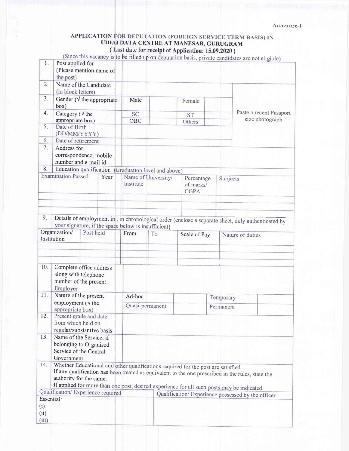# APPLICATION FOR DEPUTATION (FOREIGN SERVICE TERM BASIS) IN UIDAI DATA CENTRE AT MANESAR, GURUGRAM<br>(Last date for receipt of Application: 15.09.2020)

|                                                                                                  |                                                                           |                                                                                                             |                              |                     |                                                                                                                                                  |                  | (Since this vacancy is to be filled up on deputation basis, private candidates are not eligible)  |  |
|--------------------------------------------------------------------------------------------------|---------------------------------------------------------------------------|-------------------------------------------------------------------------------------------------------------|------------------------------|---------------------|--------------------------------------------------------------------------------------------------------------------------------------------------|------------------|---------------------------------------------------------------------------------------------------|--|
| 1.                                                                                               | Post applied for<br>the post)                                             | (Please mention name of                                                                                     |                              |                     |                                                                                                                                                  |                  |                                                                                                   |  |
| 2.                                                                                               | (in block letters)                                                        | Name of the Candidate                                                                                       |                              |                     |                                                                                                                                                  |                  |                                                                                                   |  |
| 3 <sub>1</sub>                                                                                   | box)                                                                      | Gender ( $\sqrt{}$ the appropriate                                                                          | Male                         |                     | Female                                                                                                                                           |                  |                                                                                                   |  |
| 4.                                                                                               | Category ( $\sqrt{ }$ the<br>appropriate box)                             |                                                                                                             | <b>SC</b><br>OBC             |                     | ST <sup>-</sup><br>Others                                                                                                                        |                  | Paste a recent Passport<br>size photograph                                                        |  |
| 5.                                                                                               | Date of Birth<br>(DD/MM/YYYY)                                             |                                                                                                             |                              |                     |                                                                                                                                                  |                  |                                                                                                   |  |
| 6.                                                                                               | Date of retirement                                                        |                                                                                                             |                              |                     |                                                                                                                                                  |                  |                                                                                                   |  |
| 7.                                                                                               | Address for                                                               | correspondence, mobile<br>number and e-mail id                                                              |                              |                     |                                                                                                                                                  |                  |                                                                                                   |  |
| 8.                                                                                               |                                                                           | Education qualification                                                                                     | (Graduation level and above) |                     |                                                                                                                                                  |                  |                                                                                                   |  |
|                                                                                                  | <b>Examination Passed</b><br>Year                                         |                                                                                                             | Institute                    | Name of University/ | Percentage<br>of marks/<br><b>CGPA</b>                                                                                                           |                  | Subjects                                                                                          |  |
|                                                                                                  |                                                                           |                                                                                                             |                              |                     |                                                                                                                                                  |                  |                                                                                                   |  |
| 9.                                                                                               |                                                                           |                                                                                                             |                              |                     |                                                                                                                                                  |                  | Details of employment in, in chronological order (enclose a separate sheet, duly authenticated by |  |
| your signature, if the space below is insufficient)<br>Organization/<br>Post held<br>Institution |                                                                           | From                                                                                                        | To                           |                     | Scale of Pay                                                                                                                                     | Nature of duties |                                                                                                   |  |
|                                                                                                  |                                                                           |                                                                                                             |                              |                     |                                                                                                                                                  |                  |                                                                                                   |  |
| 10.                                                                                              | Employer                                                                  | Complete office address<br>along with telephone<br>number of the present                                    |                              |                     |                                                                                                                                                  |                  |                                                                                                   |  |
| 11.                                                                                              |                                                                           | Nature of the present                                                                                       |                              | Ad-hoc<br>Temporary |                                                                                                                                                  |                  |                                                                                                   |  |
|                                                                                                  | employment ( $\sqrt{}$ the<br>appropriate box)                            |                                                                                                             |                              | Quasi-permanent     |                                                                                                                                                  | Permanent        |                                                                                                   |  |
| 12.                                                                                              | Present grade and date<br>from which held on<br>regular/substantive basis |                                                                                                             |                              |                     |                                                                                                                                                  |                  |                                                                                                   |  |
| 13.                                                                                              | Government                                                                | Name of the Service, if<br>belonging to Organised<br>Service of the Central                                 |                              |                     |                                                                                                                                                  |                  |                                                                                                   |  |
| 14.                                                                                              |                                                                           | Whether Educational and other qualifications required for the post are satisfied<br>authority for the same. |                              |                     |                                                                                                                                                  |                  | If any qualification has been treated as equivalent to the one prescribed in the rules, state the |  |
|                                                                                                  | Qualification/Experience required                                         |                                                                                                             |                              |                     | If applied for more than one post, desired experience for all such posts may be indicated.<br>Qualification/ Experience possessed by the officer |                  |                                                                                                   |  |
| Essential:                                                                                       |                                                                           |                                                                                                             |                              |                     |                                                                                                                                                  |                  |                                                                                                   |  |
| (i)<br>(ii)<br>(iii)                                                                             |                                                                           |                                                                                                             |                              |                     |                                                                                                                                                  |                  |                                                                                                   |  |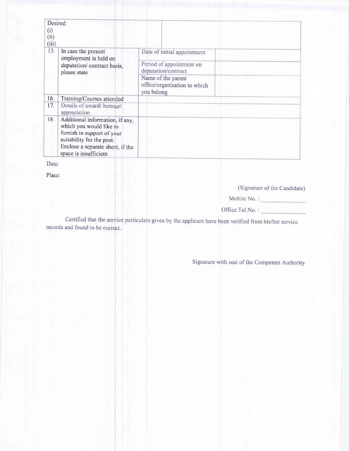| (i)<br>(ii)<br>(iii) | Desired:                                                                                                                                                                           |                                                                                |  |
|----------------------|------------------------------------------------------------------------------------------------------------------------------------------------------------------------------------|--------------------------------------------------------------------------------|--|
| 15.                  | In case the present<br>employment is held on<br>deputation/ contract basis,<br>please state                                                                                        | Date of initial appointment<br>Period of appointment on<br>deputation/contract |  |
|                      |                                                                                                                                                                                    | Name of the parent<br>office/organization to which<br>you belong               |  |
| 16.                  | Training/Courses attended                                                                                                                                                          |                                                                                |  |
| 17.                  | Details of award/honour/<br>appreciation                                                                                                                                           |                                                                                |  |
| 18.                  | Additional information, if any,<br>which you would like to<br>furnish in support of your<br>suitability for the post.<br>Enclose a separate sheet, if the<br>space is insufficient |                                                                                |  |

Date:

Place:

(Signature of the Candidate)

Mobile No.:

Office Tel.No.:

Certified that the service particulars given by the applicant have been verified from his/her service records and found to be correct.

Signature with seal of the Competent Authority